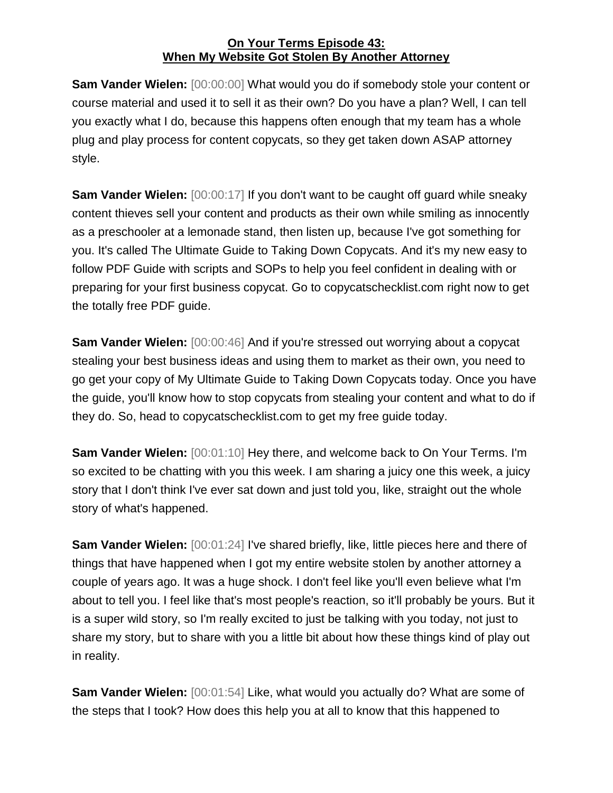**Sam Vander Wielen:** [00:00:00] What would you do if somebody stole your content or course material and used it to sell it as their own? Do you have a plan? Well, I can tell you exactly what I do, because this happens often enough that my team has a whole plug and play process for content copycats, so they get taken down ASAP attorney style.

**Sam Vander Wielen:** [00:00:17] If you don't want to be caught off guard while sneaky content thieves sell your content and products as their own while smiling as innocently as a preschooler at a lemonade stand, then listen up, because I've got something for you. It's called The Ultimate Guide to Taking Down Copycats. And it's my new easy to follow PDF Guide with scripts and SOPs to help you feel confident in dealing with or preparing for your first business copycat. Go to copycatschecklist.com right now to get the totally free PDF guide.

**Sam Vander Wielen:** [00:00:46] And if you're stressed out worrying about a copycat stealing your best business ideas and using them to market as their own, you need to go get your copy of My Ultimate Guide to Taking Down Copycats today. Once you have the guide, you'll know how to stop copycats from stealing your content and what to do if they do. So, head to copycatschecklist.com to get my free guide today.

**Sam Vander Wielen:** [00:01:10] Hey there, and welcome back to On Your Terms. I'm so excited to be chatting with you this week. I am sharing a juicy one this week, a juicy story that I don't think I've ever sat down and just told you, like, straight out the whole story of what's happened.

**Sam Vander Wielen:** [00:01:24] I've shared briefly, like, little pieces here and there of things that have happened when I got my entire website stolen by another attorney a couple of years ago. It was a huge shock. I don't feel like you'll even believe what I'm about to tell you. I feel like that's most people's reaction, so it'll probably be yours. But it is a super wild story, so I'm really excited to just be talking with you today, not just to share my story, but to share with you a little bit about how these things kind of play out in reality.

**Sam Vander Wielen:** [00:01:54] Like, what would you actually do? What are some of the steps that I took? How does this help you at all to know that this happened to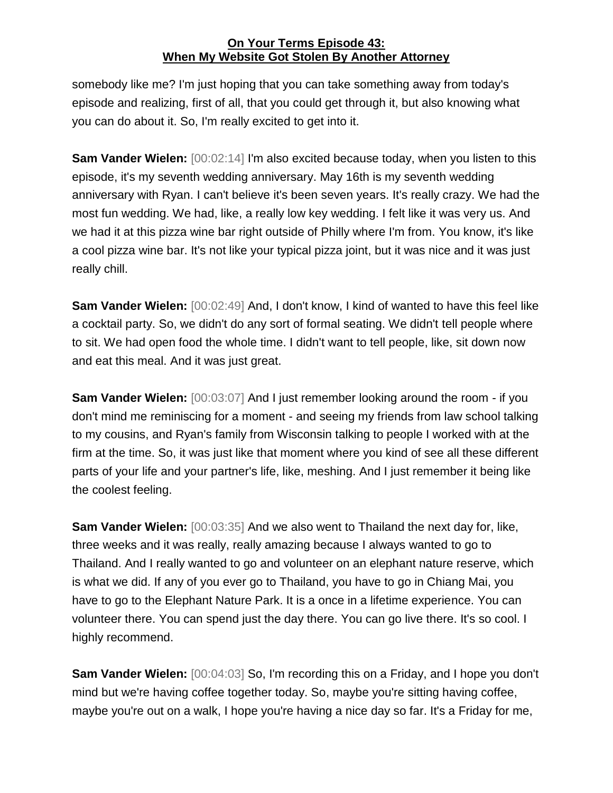somebody like me? I'm just hoping that you can take something away from today's episode and realizing, first of all, that you could get through it, but also knowing what you can do about it. So, I'm really excited to get into it.

**Sam Vander Wielen:** [00:02:14] I'm also excited because today, when you listen to this episode, it's my seventh wedding anniversary. May 16th is my seventh wedding anniversary with Ryan. I can't believe it's been seven years. It's really crazy. We had the most fun wedding. We had, like, a really low key wedding. I felt like it was very us. And we had it at this pizza wine bar right outside of Philly where I'm from. You know, it's like a cool pizza wine bar. It's not like your typical pizza joint, but it was nice and it was just really chill.

**Sam Vander Wielen:** [00:02:49] And, I don't know, I kind of wanted to have this feel like a cocktail party. So, we didn't do any sort of formal seating. We didn't tell people where to sit. We had open food the whole time. I didn't want to tell people, like, sit down now and eat this meal. And it was just great.

**Sam Vander Wielen:** [00:03:07] And I just remember looking around the room - if you don't mind me reminiscing for a moment - and seeing my friends from law school talking to my cousins, and Ryan's family from Wisconsin talking to people I worked with at the firm at the time. So, it was just like that moment where you kind of see all these different parts of your life and your partner's life, like, meshing. And I just remember it being like the coolest feeling.

**Sam Vander Wielen:** [00:03:35] And we also went to Thailand the next day for, like, three weeks and it was really, really amazing because I always wanted to go to Thailand. And I really wanted to go and volunteer on an elephant nature reserve, which is what we did. If any of you ever go to Thailand, you have to go in Chiang Mai, you have to go to the Elephant Nature Park. It is a once in a lifetime experience. You can volunteer there. You can spend just the day there. You can go live there. It's so cool. I highly recommend.

**Sam Vander Wielen:** [00:04:03] So, I'm recording this on a Friday, and I hope you don't mind but we're having coffee together today. So, maybe you're sitting having coffee, maybe you're out on a walk, I hope you're having a nice day so far. It's a Friday for me,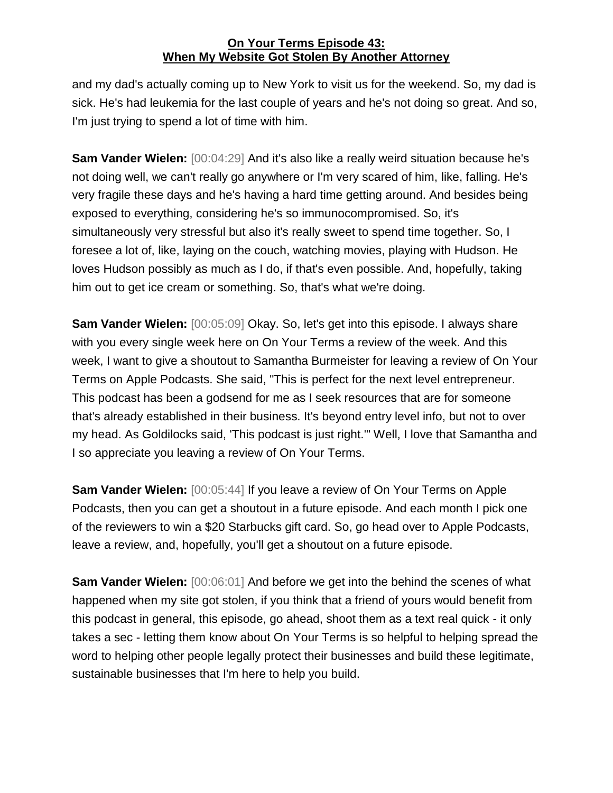and my dad's actually coming up to New York to visit us for the weekend. So, my dad is sick. He's had leukemia for the last couple of years and he's not doing so great. And so, I'm just trying to spend a lot of time with him.

**Sam Vander Wielen:** [00:04:29] And it's also like a really weird situation because he's not doing well, we can't really go anywhere or I'm very scared of him, like, falling. He's very fragile these days and he's having a hard time getting around. And besides being exposed to everything, considering he's so immunocompromised. So, it's simultaneously very stressful but also it's really sweet to spend time together. So, I foresee a lot of, like, laying on the couch, watching movies, playing with Hudson. He loves Hudson possibly as much as I do, if that's even possible. And, hopefully, taking him out to get ice cream or something. So, that's what we're doing.

**Sam Vander Wielen:** [00:05:09] Okay. So, let's get into this episode. I always share with you every single week here on On Your Terms a review of the week. And this week, I want to give a shoutout to Samantha Burmeister for leaving a review of On Your Terms on Apple Podcasts. She said, "This is perfect for the next level entrepreneur. This podcast has been a godsend for me as I seek resources that are for someone that's already established in their business. It's beyond entry level info, but not to over my head. As Goldilocks said, 'This podcast is just right.'" Well, I love that Samantha and I so appreciate you leaving a review of On Your Terms.

**Sam Vander Wielen:** [00:05:44] If you leave a review of On Your Terms on Apple Podcasts, then you can get a shoutout in a future episode. And each month I pick one of the reviewers to win a \$20 Starbucks gift card. So, go head over to Apple Podcasts, leave a review, and, hopefully, you'll get a shoutout on a future episode.

**Sam Vander Wielen:** [00:06:01] And before we get into the behind the scenes of what happened when my site got stolen, if you think that a friend of yours would benefit from this podcast in general, this episode, go ahead, shoot them as a text real quick - it only takes a sec - letting them know about On Your Terms is so helpful to helping spread the word to helping other people legally protect their businesses and build these legitimate, sustainable businesses that I'm here to help you build.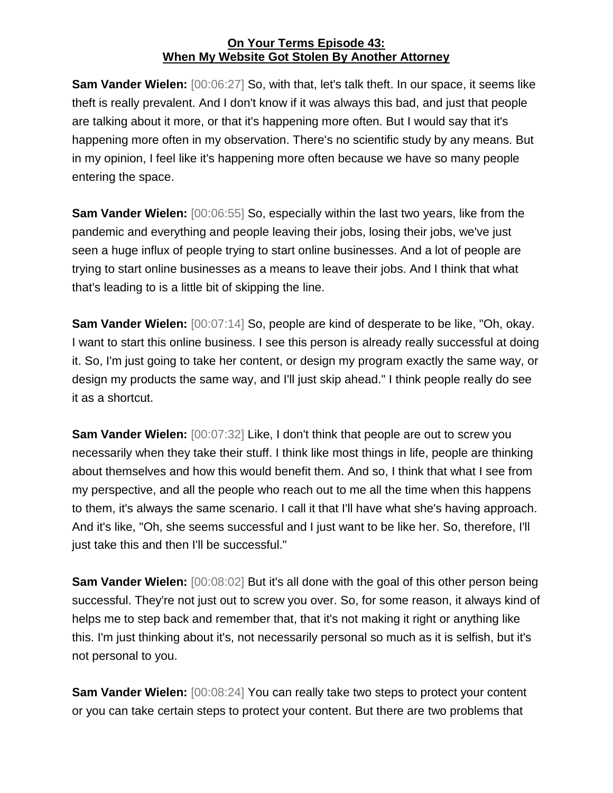**Sam Vander Wielen:** [00:06:27] So, with that, let's talk theft. In our space, it seems like theft is really prevalent. And I don't know if it was always this bad, and just that people are talking about it more, or that it's happening more often. But I would say that it's happening more often in my observation. There's no scientific study by any means. But in my opinion, I feel like it's happening more often because we have so many people entering the space.

**Sam Vander Wielen:** [00:06:55] So, especially within the last two years, like from the pandemic and everything and people leaving their jobs, losing their jobs, we've just seen a huge influx of people trying to start online businesses. And a lot of people are trying to start online businesses as a means to leave their jobs. And I think that what that's leading to is a little bit of skipping the line.

**Sam Vander Wielen:** [00:07:14] So, people are kind of desperate to be like, "Oh, okay. I want to start this online business. I see this person is already really successful at doing it. So, I'm just going to take her content, or design my program exactly the same way, or design my products the same way, and I'll just skip ahead." I think people really do see it as a shortcut.

**Sam Vander Wielen:** [00:07:32] Like, I don't think that people are out to screw you necessarily when they take their stuff. I think like most things in life, people are thinking about themselves and how this would benefit them. And so, I think that what I see from my perspective, and all the people who reach out to me all the time when this happens to them, it's always the same scenario. I call it that I'll have what she's having approach. And it's like, "Oh, she seems successful and I just want to be like her. So, therefore, I'll just take this and then I'll be successful."

**Sam Vander Wielen:** [00:08:02] But it's all done with the goal of this other person being successful. They're not just out to screw you over. So, for some reason, it always kind of helps me to step back and remember that, that it's not making it right or anything like this. I'm just thinking about it's, not necessarily personal so much as it is selfish, but it's not personal to you.

**Sam Vander Wielen:** [00:08:24] You can really take two steps to protect your content or you can take certain steps to protect your content. But there are two problems that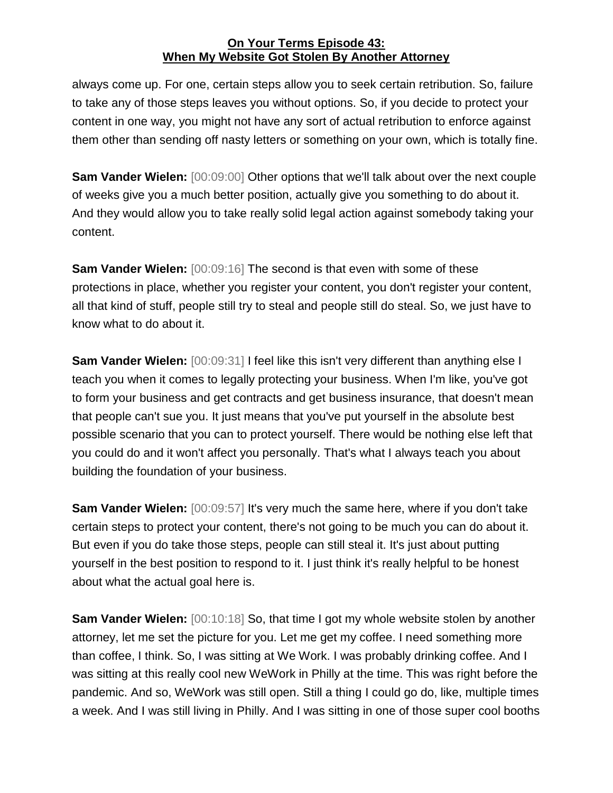always come up. For one, certain steps allow you to seek certain retribution. So, failure to take any of those steps leaves you without options. So, if you decide to protect your content in one way, you might not have any sort of actual retribution to enforce against them other than sending off nasty letters or something on your own, which is totally fine.

**Sam Vander Wielen:** [00:09:00] Other options that we'll talk about over the next couple of weeks give you a much better position, actually give you something to do about it. And they would allow you to take really solid legal action against somebody taking your content.

**Sam Vander Wielen:** [00:09:16] The second is that even with some of these protections in place, whether you register your content, you don't register your content, all that kind of stuff, people still try to steal and people still do steal. So, we just have to know what to do about it.

**Sam Vander Wielen:** [00:09:31] I feel like this isn't very different than anything else I teach you when it comes to legally protecting your business. When I'm like, you've got to form your business and get contracts and get business insurance, that doesn't mean that people can't sue you. It just means that you've put yourself in the absolute best possible scenario that you can to protect yourself. There would be nothing else left that you could do and it won't affect you personally. That's what I always teach you about building the foundation of your business.

**Sam Vander Wielen:** [00:09:57] It's very much the same here, where if you don't take certain steps to protect your content, there's not going to be much you can do about it. But even if you do take those steps, people can still steal it. It's just about putting yourself in the best position to respond to it. I just think it's really helpful to be honest about what the actual goal here is.

**Sam Vander Wielen:** [00:10:18] So, that time I got my whole website stolen by another attorney, let me set the picture for you. Let me get my coffee. I need something more than coffee, I think. So, I was sitting at We Work. I was probably drinking coffee. And I was sitting at this really cool new WeWork in Philly at the time. This was right before the pandemic. And so, WeWork was still open. Still a thing I could go do, like, multiple times a week. And I was still living in Philly. And I was sitting in one of those super cool booths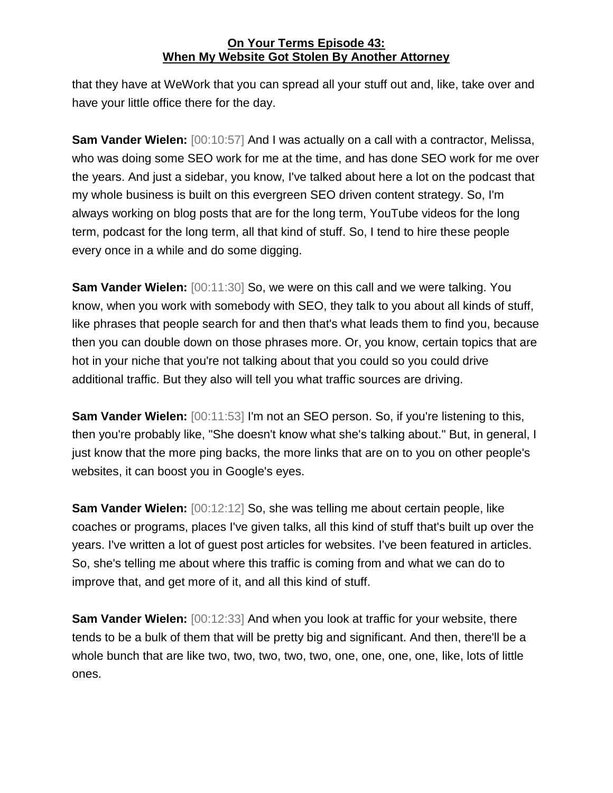that they have at WeWork that you can spread all your stuff out and, like, take over and have your little office there for the day.

**Sam Vander Wielen:** [00:10:57] And I was actually on a call with a contractor, Melissa, who was doing some SEO work for me at the time, and has done SEO work for me over the years. And just a sidebar, you know, I've talked about here a lot on the podcast that my whole business is built on this evergreen SEO driven content strategy. So, I'm always working on blog posts that are for the long term, YouTube videos for the long term, podcast for the long term, all that kind of stuff. So, I tend to hire these people every once in a while and do some digging.

**Sam Vander Wielen:** [00:11:30] So, we were on this call and we were talking. You know, when you work with somebody with SEO, they talk to you about all kinds of stuff, like phrases that people search for and then that's what leads them to find you, because then you can double down on those phrases more. Or, you know, certain topics that are hot in your niche that you're not talking about that you could so you could drive additional traffic. But they also will tell you what traffic sources are driving.

**Sam Vander Wielen:** [00:11:53] I'm not an SEO person. So, if you're listening to this, then you're probably like, "She doesn't know what she's talking about." But, in general, I just know that the more ping backs, the more links that are on to you on other people's websites, it can boost you in Google's eyes.

**Sam Vander Wielen:** [00:12:12] So, she was telling me about certain people, like coaches or programs, places I've given talks, all this kind of stuff that's built up over the years. I've written a lot of guest post articles for websites. I've been featured in articles. So, she's telling me about where this traffic is coming from and what we can do to improve that, and get more of it, and all this kind of stuff.

**Sam Vander Wielen:** [00:12:33] And when you look at traffic for your website, there tends to be a bulk of them that will be pretty big and significant. And then, there'll be a whole bunch that are like two, two, two, two, two, one, one, one, one, like, lots of little ones.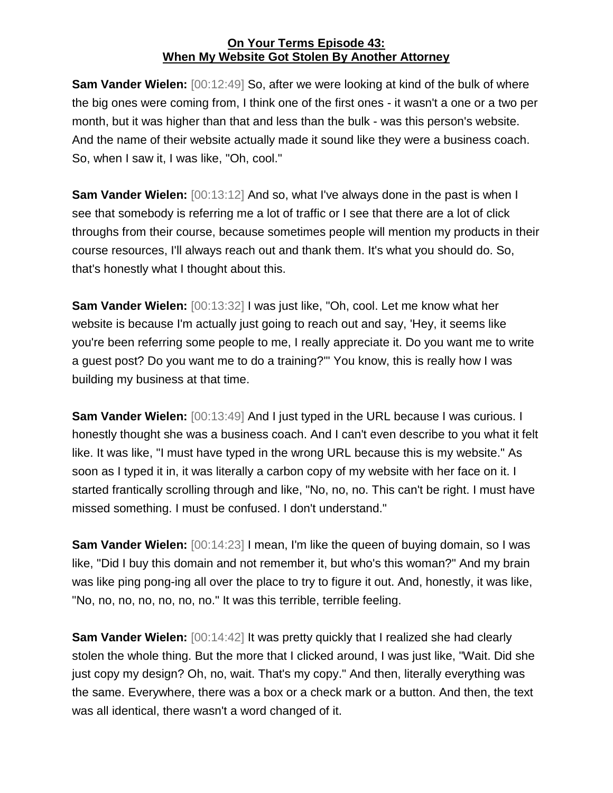**Sam Vander Wielen:** [00:12:49] So, after we were looking at kind of the bulk of where the big ones were coming from, I think one of the first ones - it wasn't a one or a two per month, but it was higher than that and less than the bulk - was this person's website. And the name of their website actually made it sound like they were a business coach. So, when I saw it, I was like, "Oh, cool."

**Sam Vander Wielen:** [00:13:12] And so, what I've always done in the past is when I see that somebody is referring me a lot of traffic or I see that there are a lot of click throughs from their course, because sometimes people will mention my products in their course resources, I'll always reach out and thank them. It's what you should do. So, that's honestly what I thought about this.

**Sam Vander Wielen:** [00:13:32] I was just like, "Oh, cool. Let me know what her website is because I'm actually just going to reach out and say, 'Hey, it seems like you're been referring some people to me, I really appreciate it. Do you want me to write a guest post? Do you want me to do a training?'" You know, this is really how I was building my business at that time.

**Sam Vander Wielen:** [00:13:49] And I just typed in the URL because I was curious. I honestly thought she was a business coach. And I can't even describe to you what it felt like. It was like, "I must have typed in the wrong URL because this is my website." As soon as I typed it in, it was literally a carbon copy of my website with her face on it. I started frantically scrolling through and like, "No, no, no. This can't be right. I must have missed something. I must be confused. I don't understand."

**Sam Vander Wielen:** [00:14:23] I mean, I'm like the queen of buying domain, so I was like, "Did I buy this domain and not remember it, but who's this woman?" And my brain was like ping pong-ing all over the place to try to figure it out. And, honestly, it was like, "No, no, no, no, no, no, no." It was this terrible, terrible feeling.

**Sam Vander Wielen:** [00:14:42] It was pretty quickly that I realized she had clearly stolen the whole thing. But the more that I clicked around, I was just like, "Wait. Did she just copy my design? Oh, no, wait. That's my copy." And then, literally everything was the same. Everywhere, there was a box or a check mark or a button. And then, the text was all identical, there wasn't a word changed of it.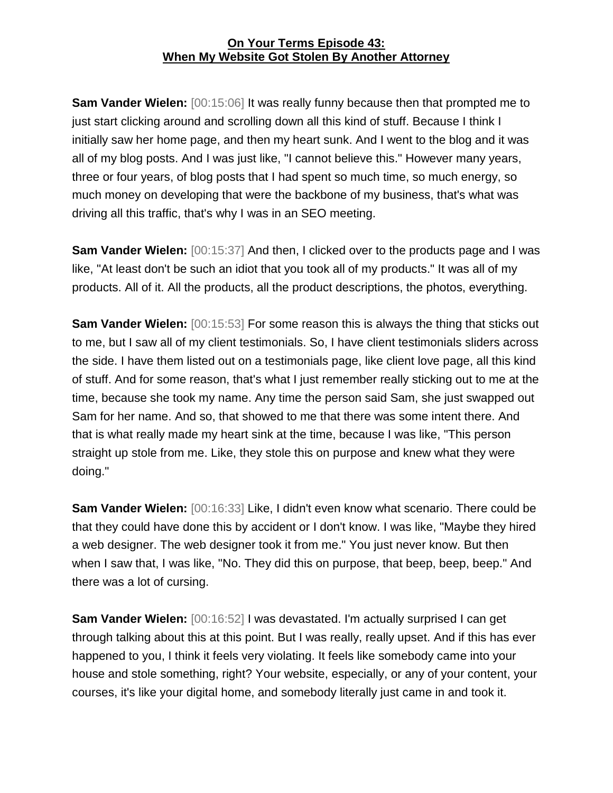**Sam Vander Wielen:** [00:15:06] It was really funny because then that prompted me to just start clicking around and scrolling down all this kind of stuff. Because I think I initially saw her home page, and then my heart sunk. And I went to the blog and it was all of my blog posts. And I was just like, "I cannot believe this." However many years, three or four years, of blog posts that I had spent so much time, so much energy, so much money on developing that were the backbone of my business, that's what was driving all this traffic, that's why I was in an SEO meeting.

**Sam Vander Wielen:** [00:15:37] And then, I clicked over to the products page and I was like, "At least don't be such an idiot that you took all of my products." It was all of my products. All of it. All the products, all the product descriptions, the photos, everything.

**Sam Vander Wielen:** [00:15:53] For some reason this is always the thing that sticks out to me, but I saw all of my client testimonials. So, I have client testimonials sliders across the side. I have them listed out on a testimonials page, like client love page, all this kind of stuff. And for some reason, that's what I just remember really sticking out to me at the time, because she took my name. Any time the person said Sam, she just swapped out Sam for her name. And so, that showed to me that there was some intent there. And that is what really made my heart sink at the time, because I was like, "This person straight up stole from me. Like, they stole this on purpose and knew what they were doing."

**Sam Vander Wielen:** [00:16:33] Like, I didn't even know what scenario. There could be that they could have done this by accident or I don't know. I was like, "Maybe they hired a web designer. The web designer took it from me." You just never know. But then when I saw that, I was like, "No. They did this on purpose, that beep, beep, beep." And there was a lot of cursing.

**Sam Vander Wielen:** [00:16:52] I was devastated. I'm actually surprised I can get through talking about this at this point. But I was really, really upset. And if this has ever happened to you, I think it feels very violating. It feels like somebody came into your house and stole something, right? Your website, especially, or any of your content, your courses, it's like your digital home, and somebody literally just came in and took it.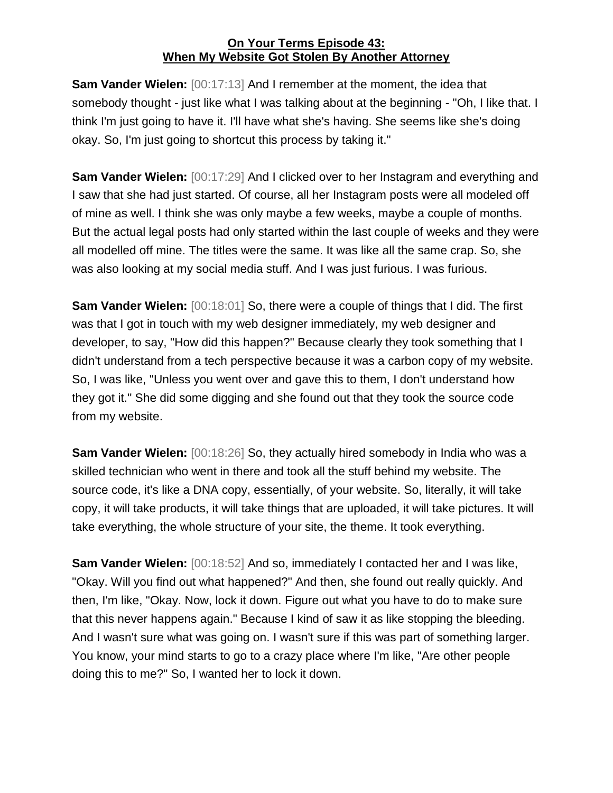**Sam Vander Wielen:** [00:17:13] And I remember at the moment, the idea that somebody thought - just like what I was talking about at the beginning - "Oh, I like that. I think I'm just going to have it. I'll have what she's having. She seems like she's doing okay. So, I'm just going to shortcut this process by taking it."

**Sam Vander Wielen:** [00:17:29] And I clicked over to her Instagram and everything and I saw that she had just started. Of course, all her Instagram posts were all modeled off of mine as well. I think she was only maybe a few weeks, maybe a couple of months. But the actual legal posts had only started within the last couple of weeks and they were all modelled off mine. The titles were the same. It was like all the same crap. So, she was also looking at my social media stuff. And I was just furious. I was furious.

**Sam Vander Wielen:** [00:18:01] So, there were a couple of things that I did. The first was that I got in touch with my web designer immediately, my web designer and developer, to say, "How did this happen?" Because clearly they took something that I didn't understand from a tech perspective because it was a carbon copy of my website. So, I was like, "Unless you went over and gave this to them, I don't understand how they got it." She did some digging and she found out that they took the source code from my website.

**Sam Vander Wielen:** [00:18:26] So, they actually hired somebody in India who was a skilled technician who went in there and took all the stuff behind my website. The source code, it's like a DNA copy, essentially, of your website. So, literally, it will take copy, it will take products, it will take things that are uploaded, it will take pictures. It will take everything, the whole structure of your site, the theme. It took everything.

**Sam Vander Wielen:** [00:18:52] And so, immediately I contacted her and I was like, "Okay. Will you find out what happened?" And then, she found out really quickly. And then, I'm like, "Okay. Now, lock it down. Figure out what you have to do to make sure that this never happens again." Because I kind of saw it as like stopping the bleeding. And I wasn't sure what was going on. I wasn't sure if this was part of something larger. You know, your mind starts to go to a crazy place where I'm like, "Are other people doing this to me?" So, I wanted her to lock it down.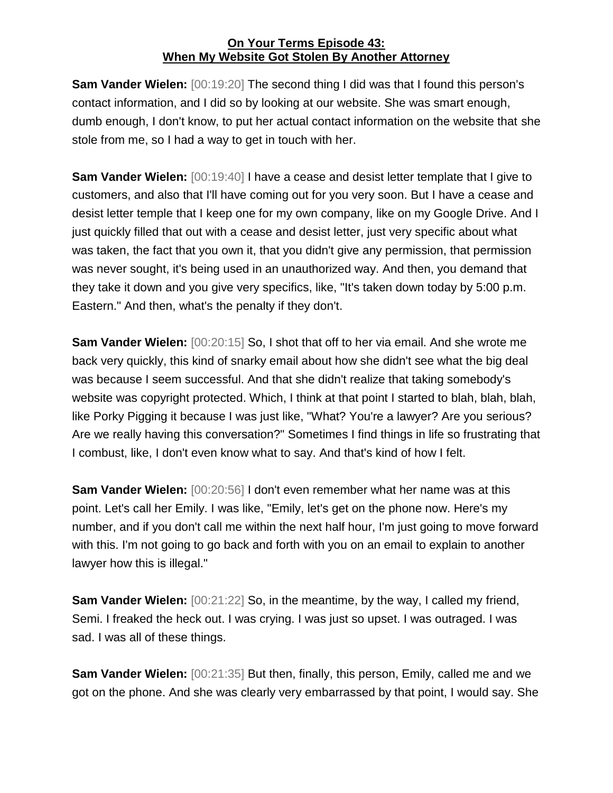**Sam Vander Wielen:** [00:19:20] The second thing I did was that I found this person's contact information, and I did so by looking at our website. She was smart enough, dumb enough, I don't know, to put her actual contact information on the website that she stole from me, so I had a way to get in touch with her.

**Sam Vander Wielen:** [00:19:40] I have a cease and desist letter template that I give to customers, and also that I'll have coming out for you very soon. But I have a cease and desist letter temple that I keep one for my own company, like on my Google Drive. And I just quickly filled that out with a cease and desist letter, just very specific about what was taken, the fact that you own it, that you didn't give any permission, that permission was never sought, it's being used in an unauthorized way. And then, you demand that they take it down and you give very specifics, like, "It's taken down today by 5:00 p.m. Eastern." And then, what's the penalty if they don't.

**Sam Vander Wielen:**  $[00:20:15]$  So, I shot that off to her via email. And she wrote me back very quickly, this kind of snarky email about how she didn't see what the big deal was because I seem successful. And that she didn't realize that taking somebody's website was copyright protected. Which, I think at that point I started to blah, blah, blah, like Porky Pigging it because I was just like, "What? You're a lawyer? Are you serious? Are we really having this conversation?" Sometimes I find things in life so frustrating that I combust, like, I don't even know what to say. And that's kind of how I felt.

**Sam Vander Wielen:** [00:20:56] I don't even remember what her name was at this point. Let's call her Emily. I was like, "Emily, let's get on the phone now. Here's my number, and if you don't call me within the next half hour, I'm just going to move forward with this. I'm not going to go back and forth with you on an email to explain to another lawyer how this is illegal."

**Sam Vander Wielen:** [00:21:22] So, in the meantime, by the way, I called my friend, Semi. I freaked the heck out. I was crying. I was just so upset. I was outraged. I was sad. I was all of these things.

**Sam Vander Wielen:** [00:21:35] But then, finally, this person, Emily, called me and we got on the phone. And she was clearly very embarrassed by that point, I would say. She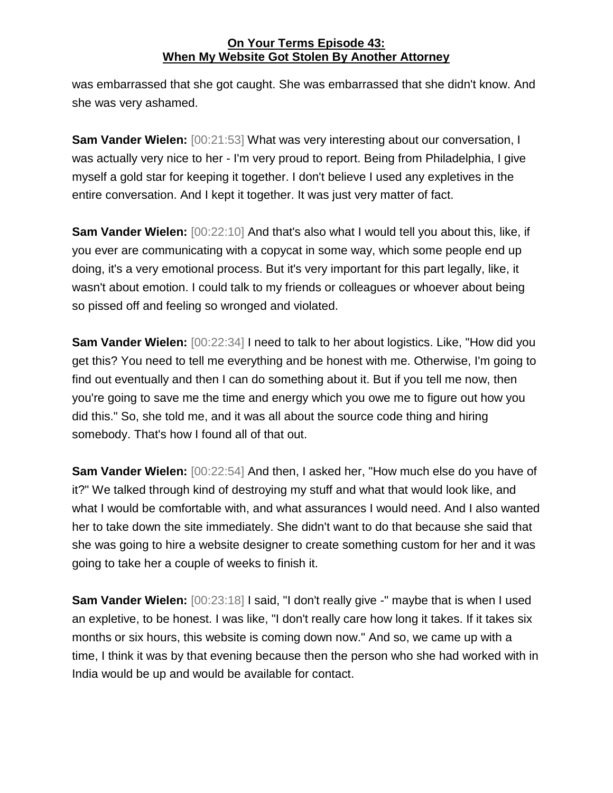was embarrassed that she got caught. She was embarrassed that she didn't know. And she was very ashamed.

**Sam Vander Wielen:** [00:21:53] What was very interesting about our conversation, I was actually very nice to her - I'm very proud to report. Being from Philadelphia, I give myself a gold star for keeping it together. I don't believe I used any expletives in the entire conversation. And I kept it together. It was just very matter of fact.

**Sam Vander Wielen:** [00:22:10] And that's also what I would tell you about this, like, if you ever are communicating with a copycat in some way, which some people end up doing, it's a very emotional process. But it's very important for this part legally, like, it wasn't about emotion. I could talk to my friends or colleagues or whoever about being so pissed off and feeling so wronged and violated.

**Sam Vander Wielen:** [00:22:34] I need to talk to her about logistics. Like, "How did you get this? You need to tell me everything and be honest with me. Otherwise, I'm going to find out eventually and then I can do something about it. But if you tell me now, then you're going to save me the time and energy which you owe me to figure out how you did this." So, she told me, and it was all about the source code thing and hiring somebody. That's how I found all of that out.

**Sam Vander Wielen:** [00:22:54] And then, I asked her, "How much else do you have of it?" We talked through kind of destroying my stuff and what that would look like, and what I would be comfortable with, and what assurances I would need. And I also wanted her to take down the site immediately. She didn't want to do that because she said that she was going to hire a website designer to create something custom for her and it was going to take her a couple of weeks to finish it.

**Sam Vander Wielen:** [00:23:18] I said, "I don't really give -" maybe that is when I used an expletive, to be honest. I was like, "I don't really care how long it takes. If it takes six months or six hours, this website is coming down now." And so, we came up with a time, I think it was by that evening because then the person who she had worked with in India would be up and would be available for contact.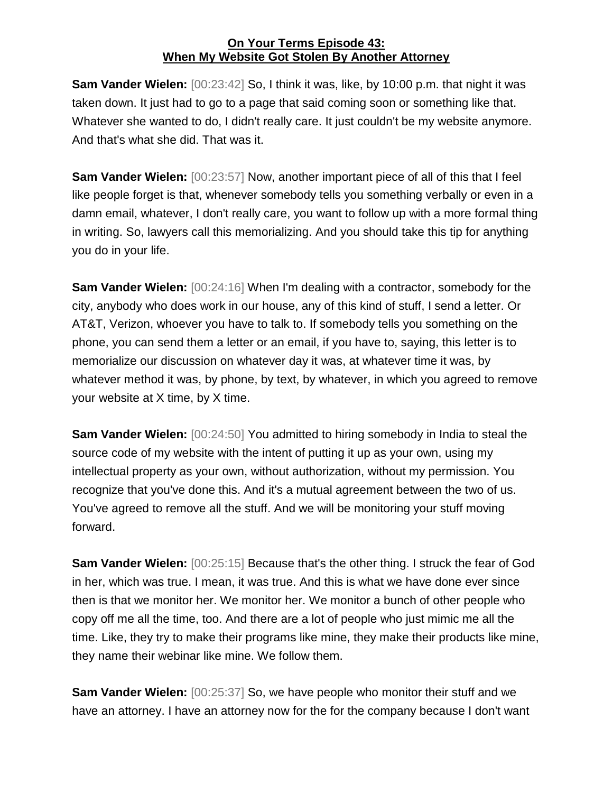**Sam Vander Wielen:** [00:23:42] So, I think it was, like, by 10:00 p.m. that night it was taken down. It just had to go to a page that said coming soon or something like that. Whatever she wanted to do, I didn't really care. It just couldn't be my website anymore. And that's what she did. That was it.

**Sam Vander Wielen:** [00:23:57] Now, another important piece of all of this that I feel like people forget is that, whenever somebody tells you something verbally or even in a damn email, whatever, I don't really care, you want to follow up with a more formal thing in writing. So, lawyers call this memorializing. And you should take this tip for anything you do in your life.

**Sam Vander Wielen:** [00:24:16] When I'm dealing with a contractor, somebody for the city, anybody who does work in our house, any of this kind of stuff, I send a letter. Or AT&T, Verizon, whoever you have to talk to. If somebody tells you something on the phone, you can send them a letter or an email, if you have to, saying, this letter is to memorialize our discussion on whatever day it was, at whatever time it was, by whatever method it was, by phone, by text, by whatever, in which you agreed to remove your website at X time, by X time.

**Sam Vander Wielen:** [00:24:50] You admitted to hiring somebody in India to steal the source code of my website with the intent of putting it up as your own, using my intellectual property as your own, without authorization, without my permission. You recognize that you've done this. And it's a mutual agreement between the two of us. You've agreed to remove all the stuff. And we will be monitoring your stuff moving forward.

**Sam Vander Wielen:** [00:25:15] Because that's the other thing. I struck the fear of God in her, which was true. I mean, it was true. And this is what we have done ever since then is that we monitor her. We monitor her. We monitor a bunch of other people who copy off me all the time, too. And there are a lot of people who just mimic me all the time. Like, they try to make their programs like mine, they make their products like mine, they name their webinar like mine. We follow them.

**Sam Vander Wielen:** [00:25:37] So, we have people who monitor their stuff and we have an attorney. I have an attorney now for the for the company because I don't want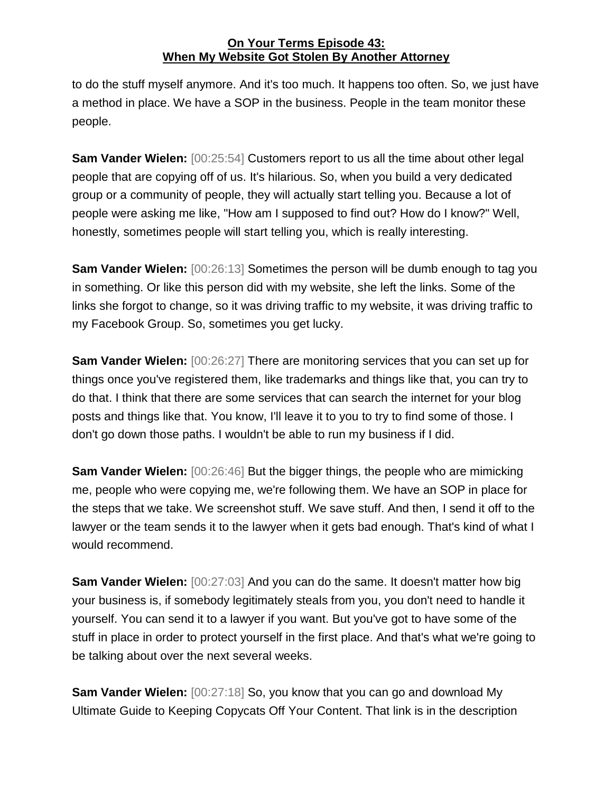to do the stuff myself anymore. And it's too much. It happens too often. So, we just have a method in place. We have a SOP in the business. People in the team monitor these people.

**Sam Vander Wielen:** [00:25:54] Customers report to us all the time about other legal people that are copying off of us. It's hilarious. So, when you build a very dedicated group or a community of people, they will actually start telling you. Because a lot of people were asking me like, "How am I supposed to find out? How do I know?" Well, honestly, sometimes people will start telling you, which is really interesting.

**Sam Vander Wielen:** [00:26:13] Sometimes the person will be dumb enough to tag you in something. Or like this person did with my website, she left the links. Some of the links she forgot to change, so it was driving traffic to my website, it was driving traffic to my Facebook Group. So, sometimes you get lucky.

**Sam Vander Wielen:** [00:26:27] There are monitoring services that you can set up for things once you've registered them, like trademarks and things like that, you can try to do that. I think that there are some services that can search the internet for your blog posts and things like that. You know, I'll leave it to you to try to find some of those. I don't go down those paths. I wouldn't be able to run my business if I did.

**Sam Vander Wielen:** [00:26:46] But the bigger things, the people who are mimicking me, people who were copying me, we're following them. We have an SOP in place for the steps that we take. We screenshot stuff. We save stuff. And then, I send it off to the lawyer or the team sends it to the lawyer when it gets bad enough. That's kind of what I would recommend.

**Sam Vander Wielen:** [00:27:03] And you can do the same. It doesn't matter how big your business is, if somebody legitimately steals from you, you don't need to handle it yourself. You can send it to a lawyer if you want. But you've got to have some of the stuff in place in order to protect yourself in the first place. And that's what we're going to be talking about over the next several weeks.

**Sam Vander Wielen:** [00:27:18] So, you know that you can go and download My Ultimate Guide to Keeping Copycats Off Your Content. That link is in the description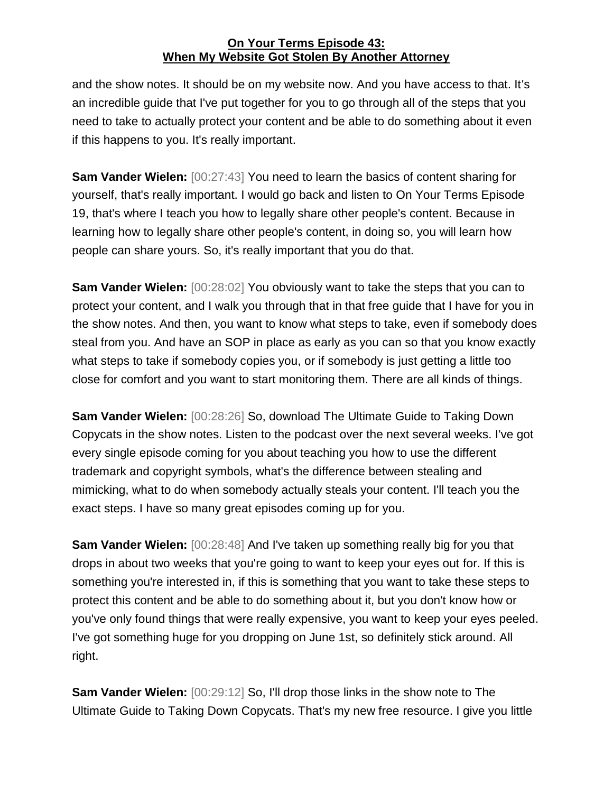and the show notes. It should be on my website now. And you have access to that. It's an incredible guide that I've put together for you to go through all of the steps that you need to take to actually protect your content and be able to do something about it even if this happens to you. It's really important.

**Sam Vander Wielen:** [00:27:43] You need to learn the basics of content sharing for yourself, that's really important. I would go back and listen to On Your Terms Episode 19, that's where I teach you how to legally share other people's content. Because in learning how to legally share other people's content, in doing so, you will learn how people can share yours. So, it's really important that you do that.

**Sam Vander Wielen:** [00:28:02] You obviously want to take the steps that you can to protect your content, and I walk you through that in that free guide that I have for you in the show notes. And then, you want to know what steps to take, even if somebody does steal from you. And have an SOP in place as early as you can so that you know exactly what steps to take if somebody copies you, or if somebody is just getting a little too close for comfort and you want to start monitoring them. There are all kinds of things.

**Sam Vander Wielen:** [00:28:26] So, download The Ultimate Guide to Taking Down Copycats in the show notes. Listen to the podcast over the next several weeks. I've got every single episode coming for you about teaching you how to use the different trademark and copyright symbols, what's the difference between stealing and mimicking, what to do when somebody actually steals your content. I'll teach you the exact steps. I have so many great episodes coming up for you.

**Sam Vander Wielen:** [00:28:48] And I've taken up something really big for you that drops in about two weeks that you're going to want to keep your eyes out for. If this is something you're interested in, if this is something that you want to take these steps to protect this content and be able to do something about it, but you don't know how or you've only found things that were really expensive, you want to keep your eyes peeled. I've got something huge for you dropping on June 1st, so definitely stick around. All right.

**Sam Vander Wielen:** [00:29:12] So, I'll drop those links in the show note to The Ultimate Guide to Taking Down Copycats. That's my new free resource. I give you little